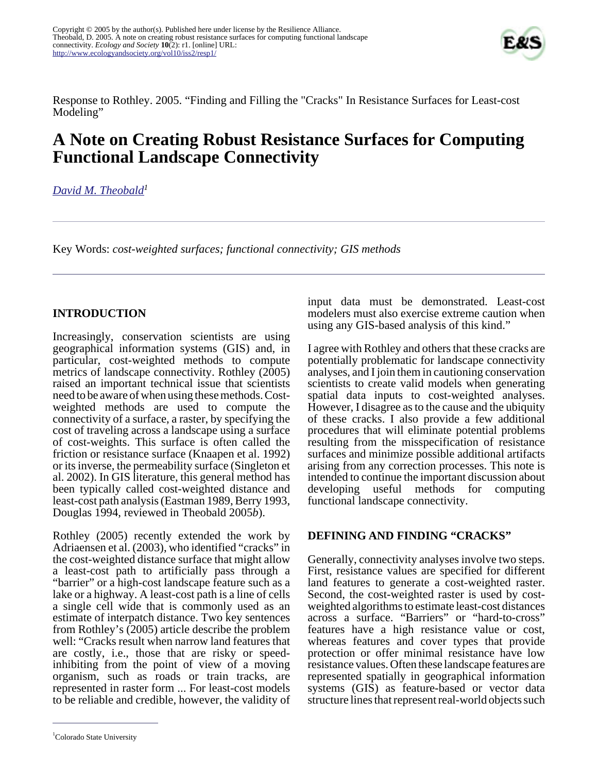

Response to Rothley. 2005. "Finding and Filling the "Cracks" In Resistance Surfaces for Least-cost Modeling"

# **A Note on Creating Robust Resistance Surfaces for Computing Functional Landscape Connectivity**

## *[David M. Theobald](mailto:davet@nrel.colostate.edu)<sup>1</sup>*

Key Words: *cost-weighted surfaces; functional connectivity; GIS methods*

### **INTRODUCTION**

Increasingly, conservation scientists are using geographical information systems (GIS) and, in particular, cost-weighted methods to compute metrics of landscape connectivity. Rothley (2005) raised an important technical issue that scientists need to be aware of when using these methods. Costweighted methods are used to compute the connectivity of a surface, a raster, by specifying the cost of traveling across a landscape using a surface of cost-weights. This surface is often called the friction or resistance surface (Knaapen et al. 1992) or its inverse, the permeability surface (Singleton et al. 2002). In GIS literature, this general method has been typically called cost-weighted distance and least-cost path analysis (Eastman 1989, Berry 1993, Douglas 1994, reviewed in Theobald 2005*b*).

Rothley (2005) recently extended the work by Adriaensen et al. (2003), who identified "cracks" in the cost-weighted distance surface that might allow a least-cost path to artificially pass through a "barrier" or a high-cost landscape feature such as a lake or a highway. A least-cost path is a line of cells a single cell wide that is commonly used as an estimate of interpatch distance. Two key sentences from Rothley's (2005) article describe the problem well: "Cracks result when narrow land features that are costly, i.e., those that are risky or speedinhibiting from the point of view of a moving organism, such as roads or train tracks, are represented in raster form ... For least-cost models to be reliable and credible, however, the validity of

input data must be demonstrated. Least-cost modelers must also exercise extreme caution when using any GIS-based analysis of this kind."

I agree with Rothley and others that these cracks are potentially problematic for landscape connectivity analyses, and I join them in cautioning conservation scientists to create valid models when generating spatial data inputs to cost-weighted analyses. However, I disagree as to the cause and the ubiquity of these cracks. I also provide a few additional procedures that will eliminate potential problems resulting from the misspecification of resistance surfaces and minimize possible additional artifacts arising from any correction processes. This note is intended to continue the important discussion about developing useful methods for computing functional landscape connectivity.

### **DEFINING AND FINDING "CRACKS"**

Generally, connectivity analyses involve two steps. First, resistance values are specified for different land features to generate a cost-weighted raster. Second, the cost-weighted raster is used by costweighted algorithms to estimate least-cost distances across a surface. "Barriers" or "hard-to-cross" features have a high resistance value or cost, whereas features and cover types that provide protection or offer minimal resistance have low resistance values. Often these landscape features are represented spatially in geographical information systems (GIS) as feature-based or vector data structure lines that represent real-world objects such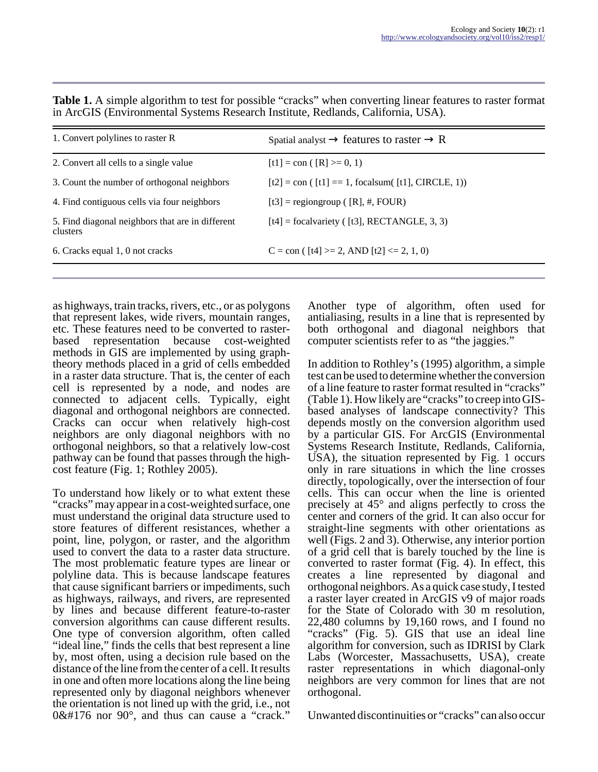| 1. Convert polylines to raster R                             | Spatial analyst $\rightarrow$ features to raster $\rightarrow$ R    |
|--------------------------------------------------------------|---------------------------------------------------------------------|
| 2. Convert all cells to a single value                       | $[t1] = con ( [R] > = 0, 1)$                                        |
| 3. Count the number of orthogonal neighbors                  | $[t2] = \text{con}$ ( $[t1] == 1$ , focalsum( $[t1]$ , CIRCLE, 1))  |
| 4. Find contiguous cells via four neighbors                  | $[t3]$ = regiongroup ( $[R]$ , #, FOUR)                             |
| 5. Find diagonal neighbors that are in different<br>clusters | $[t4]$ = focalvariety ( $[t3]$ , RECTANGLE, 3, 3)                   |
| 6. Cracks equal 1, 0 not cracks                              | C = con ( $\left[t4\right]$ >= 2, AND $\left[t2\right]$ <= 2, 1, 0) |

**Table 1.** A simple algorithm to test for possible "cracks" when converting linear features to raster format in ArcGIS (Environmental Systems Research Institute, Redlands, California, USA).

as highways, train tracks, rivers, etc., or as polygons that represent lakes, wide rivers, mountain ranges, etc. These features need to be converted to rasterbased representation because cost-weighted methods in GIS are implemented by using graphtheory methods placed in a grid of cells embedded in a raster data structure. That is, the center of each cell is represented by a node, and nodes are connected to adjacent cells. Typically, eight diagonal and orthogonal neighbors are connected. Cracks can occur when relatively high-cost neighbors are only diagonal neighbors with no orthogonal neighbors, so that a relatively low-cost pathway can be found that passes through the highcost feature (Fig. 1; Rothley 2005).

To understand how likely or to what extent these "cracks" may appear in a cost-weighted surface, one must understand the original data structure used to store features of different resistances, whether a point, line, polygon, or raster, and the algorithm used to convert the data to a raster data structure. The most problematic feature types are linear or polyline data. This is because landscape features that cause significant barriers or impediments, such as highways, railways, and rivers, are represented by lines and because different feature-to-raster conversion algorithms can cause different results. One type of conversion algorithm, often called "ideal line," finds the cells that best represent a line by, most often, using a decision rule based on the distance of the line from the center of a cell. It results in one and often more locations along the line being represented only by diagonal neighbors whenever the orientation is not lined up with the grid, i.e., not  $0°$  nor 90 $^{\circ}$ , and thus can cause a "crack."

Another type of algorithm, often used for antialiasing, results in a line that is represented by both orthogonal and diagonal neighbors that computer scientists refer to as "the jaggies."

In addition to Rothley's (1995) algorithm, a simple test can be used to determine whether the conversion of a line feature to raster format resulted in "cracks" (Table 1). How likely are "cracks" to creep into GISbased analyses of landscape connectivity? This depends mostly on the conversion algorithm used by a particular GIS. For ArcGIS (Environmental Systems Research Institute, Redlands, California, USA), the situation represented by Fig. 1 occurs only in rare situations in which the line crosses directly, topologically, over the intersection of four cells. This can occur when the line is oriented precisely at 45° and aligns perfectly to cross the center and corners of the grid. It can also occur for straight-line segments with other orientations as well (Figs. 2 and 3). Otherwise, any interior portion of a grid cell that is barely touched by the line is converted to raster format (Fig. 4). In effect, this creates a line represented by diagonal and orthogonal neighbors. As a quick case study, I tested a raster layer created in ArcGIS v9 of major roads for the State of Colorado with 30 m resolution, 22,480 columns by 19,160 rows, and I found no "cracks" (Fig. 5). GIS that use an ideal line algorithm for conversion, such as IDRISI by Clark Labs (Worcester, Massachusetts, USA), create raster representations in which diagonal-only neighbors are very common for lines that are not orthogonal.

Unwanted discontinuities or "cracks" can also occur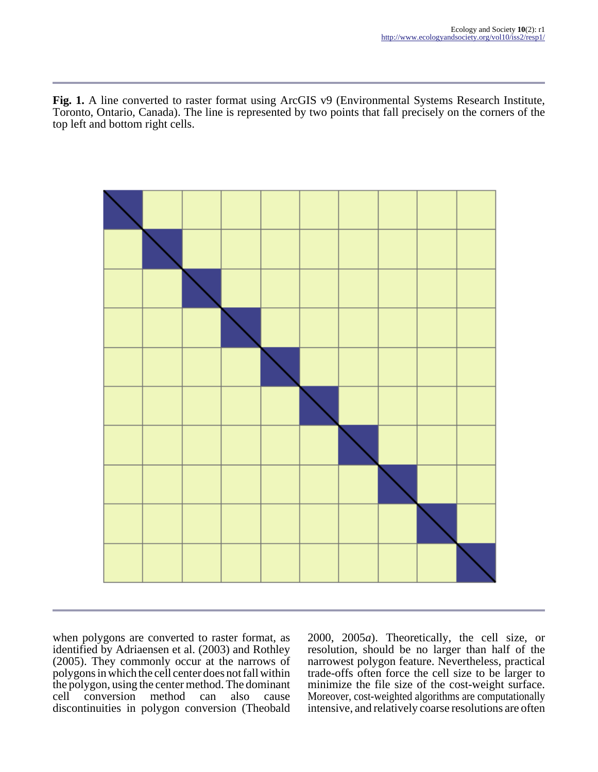Fig. 1. A line converted to raster format using ArcGIS v9 (Environmental Systems Research Institute, Toronto, Ontario, Canada). The line is represented by two points that fall precisely on the corners of the top left and bottom right cells.



when polygons are converted to raster format, as identified by Adriaensen et al. (2003) and Rothley (2005). They commonly occur at the narrows of polygons in which the cell center does not fall within the polygon, using the center method. The dominant<br>cell conversion method can also cause cell conversion method can also cause discontinuities in polygon conversion (Theobald

2000, 2005*a*). Theoretically, the cell size, or resolution, should be no larger than half of the narrowest polygon feature. Nevertheless, practical trade-offs often force the cell size to be larger to minimize the file size of the cost-weight surface. Moreover, cost-weighted algorithms are computationally intensive, and relatively coarse resolutions are often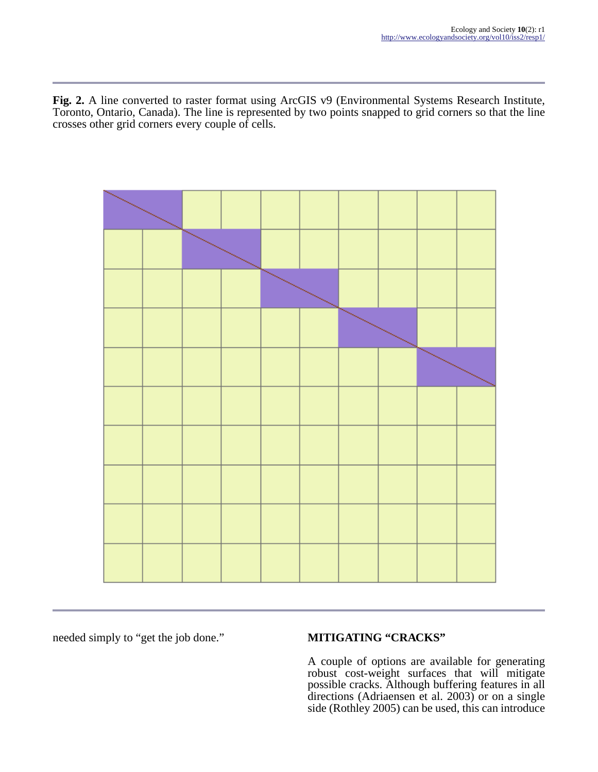**Fig. 2.** A line converted to raster format using ArcGIS v9 (Environmental Systems Research Institute, Toronto, Ontario, Canada). The line is represented by two points snapped to grid corners so that the line crosses other grid corners every couple of cells.



needed simply to "get the job done." **MITIGATING "CRACKS"**

A couple of options are available for generating robust cost-weight surfaces that will mitigate possible cracks. Although buffering features in all directions (Adriaensen et al. 2003) or on a single side (Rothley 2005) can be used, this can introduce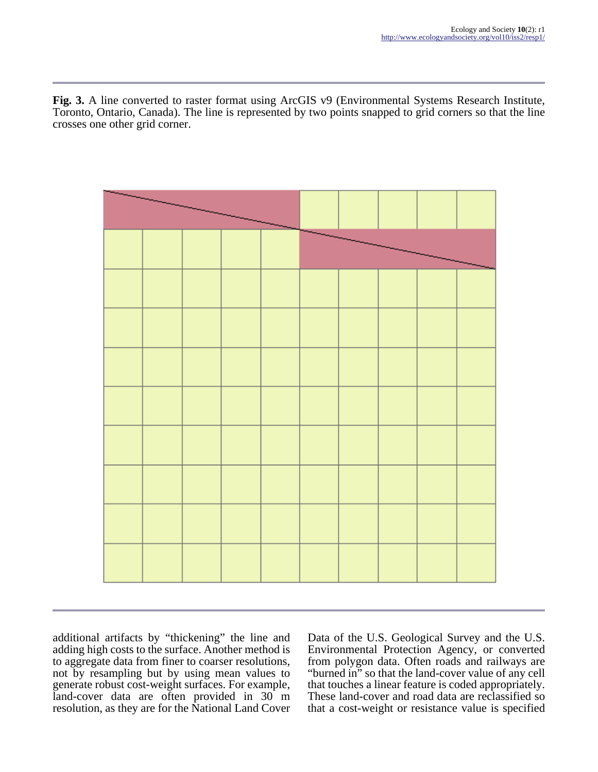**Fig. 3.** A line converted to raster format using ArcGIS v9 (Environmental Systems Research Institute, Toronto, Ontario, Canada). The line is represented by two points snapped to grid corners so that the line crosses one other grid corner.



additional artifacts by "thickening" the line and adding high costs to the surface. Another method is to aggregate data from finer to coarser resolutions, not by resampling but by using mean values to generate robust cost-weight surfaces. For example, land-cover data are often provided in 30 m resolution, as they are for the National Land Cover

Data of the U.S. Geological Survey and the U.S. Environmental Protection Agency, or converted from polygon data. Often roads and railways are "burned in" so that the land-cover value of any cell that touches a linear feature is coded appropriately. These land-cover and road data are reclassified so that a cost-weight or resistance value is specified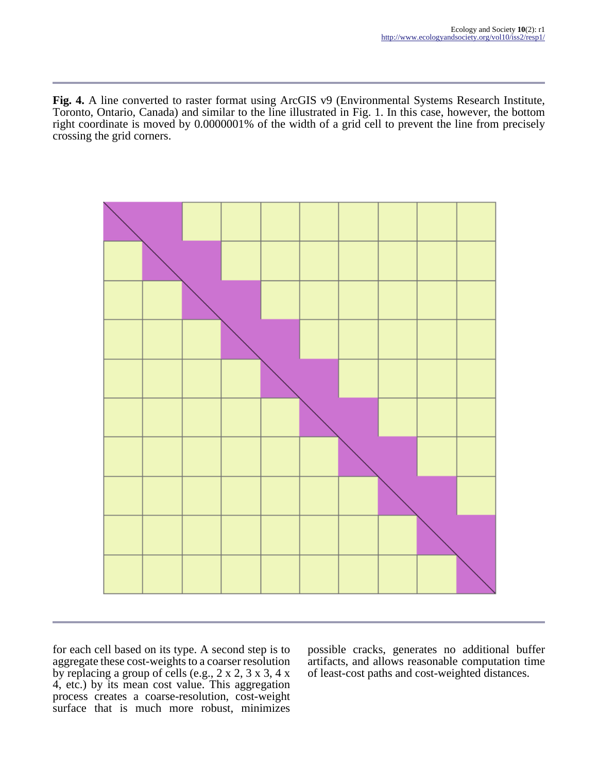**Fig. 4.** A line converted to raster format using ArcGIS v9 (Environmental Systems Research Institute, Toronto, Ontario, Canada) and similar to the line illustrated in Fig. 1. In this case, however, the bottom right coordinate is moved by 0.0000001% of the width of a grid cell to prevent the line from precisely crossing the grid corners.



for each cell based on its type. A second step is to aggregate these cost-weights to a coarser resolution by replacing a group of cells (e.g., 2 x 2, 3 x 3, 4 x 4, etc.) by its mean cost value. This aggregation process creates a coarse-resolution, cost-weight surface that is much more robust, minimizes

possible cracks, generates no additional buffer artifacts, and allows reasonable computation time of least-cost paths and cost-weighted distances.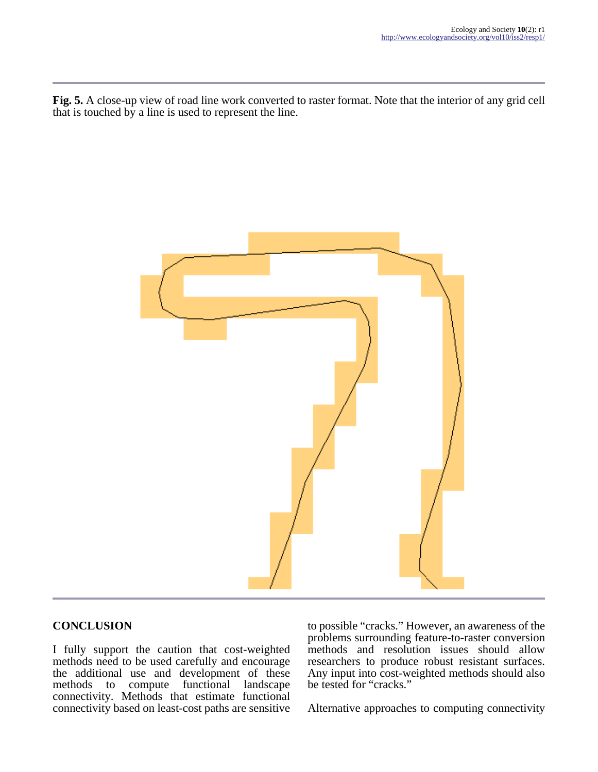**Fig. 5.** A close-up view of road line work converted to raster format. Note that the interior of any grid cell that is touched by a line is used to represent the line.



### **CONCLUSION**

I fully support the caution that cost-weighted methods need to be used carefully and encourage the additional use and development of these<br>methods to compute functional landscape methods to compute connectivity. Methods that estimate functional connectivity based on least-cost paths are sensitive

to possible "cracks." However, an awareness of the problems surrounding feature-to-raster conversion methods and resolution issues should allow researchers to produce robust resistant surfaces. Any input into cost-weighted methods should also be tested for "cracks."

Alternative approaches to computing connectivity